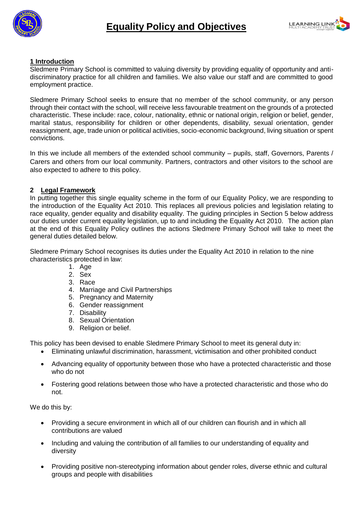



#### **1 Introduction**

Sledmere Primary School is committed to valuing diversity by providing equality of opportunity and antidiscriminatory practice for all children and families. We also value our staff and are committed to good employment practice.

Sledmere Primary School seeks to ensure that no member of the school community, or any person through their contact with the school, will receive less favourable treatment on the grounds of a protected characteristic. These include: race, colour, nationality, ethnic or national origin, religion or belief, gender, marital status, responsibility for children or other dependents, disability, sexual orientation, gender reassignment, age, trade union or political activities, socio-economic background, living situation or spent convictions.

In this we include all members of the extended school community – pupils, staff, Governors, Parents / Carers and others from our local community. Partners, contractors and other visitors to the school are also expected to adhere to this policy.

#### **2 Legal Framework**

In putting together this single equality scheme in the form of our Equality Policy, we are responding to the introduction of the Equality Act 2010. This replaces all previous policies and legislation relating to race equality, gender equality and disability equality. The quiding principles in Section 5 below address our duties under current equality legislation, up to and including the Equality Act 2010. The action plan at the end of this Equality Policy outlines the actions Sledmere Primary School will take to meet the general duties detailed below.

Sledmere Primary School recognises its duties under the Equality Act 2010 in relation to the nine characteristics protected in law:

- 1. Age
- 2. Sex
- 3. Race
- 4. Marriage and Civil Partnerships
- 5. Pregnancy and Maternity
- 6. Gender reassignment
- 7. Disability
- 8. Sexual Orientation
- 9. Religion or belief.

This policy has been devised to enable Sledmere Primary School to meet its general duty in:

- Eliminating unlawful discrimination, harassment, victimisation and other prohibited conduct
- Advancing equality of opportunity between those who have a protected characteristic and those who do not
- Fostering good relations between those who have a protected characteristic and those who do not.

We do this by:

- Providing a secure environment in which all of our children can flourish and in which all contributions are valued
- Including and valuing the contribution of all families to our understanding of equality and diversity
- Providing positive non-stereotyping information about gender roles, diverse ethnic and cultural groups and people with disabilities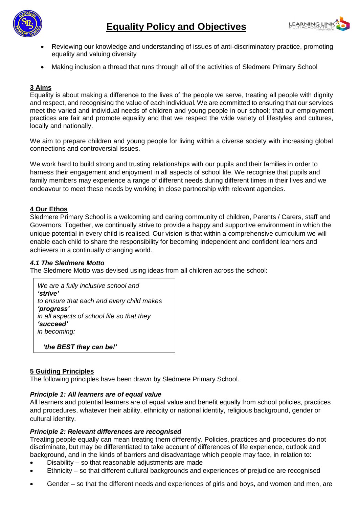



- Reviewing our knowledge and understanding of issues of anti-discriminatory practice, promoting equality and valuing diversity
- Making inclusion a thread that runs through all of the activities of Sledmere Primary School

#### **3 Aims**

Equality is about making a difference to the lives of the people we serve, treating all people with dignity and respect, and recognising the value of each individual. We are committed to ensuring that our services meet the varied and individual needs of children and young people in our school; that our employment practices are fair and promote equality and that we respect the wide variety of lifestyles and cultures, locally and nationally.

We aim to prepare children and young people for living within a diverse society with increasing global connections and controversial issues.

We work hard to build strong and trusting relationships with our pupils and their families in order to harness their engagement and enjoyment in all aspects of school life. We recognise that pupils and family members may experience a range of different needs during different times in their lives and we endeavour to meet these needs by working in close partnership with relevant agencies.

#### **4 Our Ethos**

Sledmere Primary School is a welcoming and caring community of children, Parents / Carers, staff and Governors. Together, we continually strive to provide a happy and supportive environment in which the unique potential in every child is realised. Our vision is that within a comprehensive curriculum we will enable each child to share the responsibility for becoming independent and confident learners and achievers in a continually changing world.

#### *4.1 The Sledmere Motto*

The Sledmere Motto was devised using ideas from all children across the school:

| We are a fully inclusive school and        |
|--------------------------------------------|
| 'strive'                                   |
| to ensure that each and every child makes  |
| 'progress'                                 |
| in all aspects of school life so that they |
| 'succeed'                                  |
| in becoming:                               |
|                                            |

 *'the BEST they can be!'*

#### **5 Guiding Principles**

The following principles have been drawn by Sledmere Primary School.

#### *Principle 1: All learners are of equal value*

All learners and potential learners are of equal value and benefit equally from school policies, practices and procedures, whatever their ability, ethnicity or national identity, religious background, gender or cultural identity.

#### *Principle 2: Relevant differences are recognised*

Treating people equally can mean treating them differently. Policies, practices and procedures do not discriminate, but may be differentiated to take account of differences of life experience, outlook and background, and in the kinds of barriers and disadvantage which people may face, in relation to:

- Disability so that reasonable adjustments are made
- Ethnicity so that different cultural backgrounds and experiences of prejudice are recognised
- Gender so that the different needs and experiences of girls and boys, and women and men, are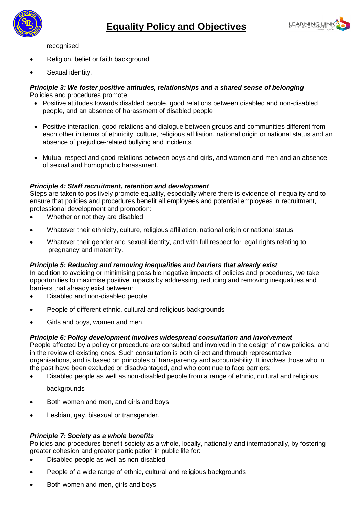



recognised

- Religion, belief or faith background
- Sexual identity.

#### *Principle 3: We foster positive attitudes, relationships and a shared sense of belonging* Policies and procedures promote:

- Positive attitudes towards disabled people, good relations between disabled and non-disabled people, and an absence of harassment of disabled people
- Positive interaction, good relations and dialogue between groups and communities different from each other in terms of ethnicity, culture, religious affiliation, national origin or national status and an absence of prejudice-related bullying and incidents
- Mutual respect and good relations between boys and girls, and women and men and an absence of sexual and homophobic harassment.

#### *Principle 4: Staff recruitment, retention and development*

Steps are taken to positively promote equality, especially where there is evidence of inequality and to ensure that policies and procedures benefit all employees and potential employees in recruitment, professional development and promotion:

- Whether or not they are disabled
- Whatever their ethnicity, culture, religious affiliation, national origin or national status
- Whatever their gender and sexual identity, and with full respect for legal rights relating to pregnancy and maternity.

#### *Principle 5: Reducing and removing inequalities and barriers that already exist*

In addition to avoiding or minimising possible negative impacts of policies and procedures, we take opportunities to maximise positive impacts by addressing, reducing and removing inequalities and barriers that already exist between:

- Disabled and non-disabled people
- People of different ethnic, cultural and religious backgrounds
- Girls and boys, women and men.

#### *Principle 6: Policy development involves widespread consultation and involvement*

People affected by a policy or procedure are consulted and involved in the design of new policies, and in the review of existing ones. Such consultation is both direct and through representative organisations, and is based on principles of transparency and accountability. It involves those who in the past have been excluded or disadvantaged, and who continue to face barriers:

Disabled people as well as non-disabled people from a range of ethnic, cultural and religious

backgrounds

- Both women and men, and girls and boys
- Lesbian, gay, bisexual or transgender.

#### *Principle 7: Society as a whole benefits*

Policies and procedures benefit society as a whole, locally, nationally and internationally, by fostering greater cohesion and greater participation in public life for:

- Disabled people as well as non-disabled
- People of a wide range of ethnic, cultural and religious backgrounds
- Both women and men, girls and boys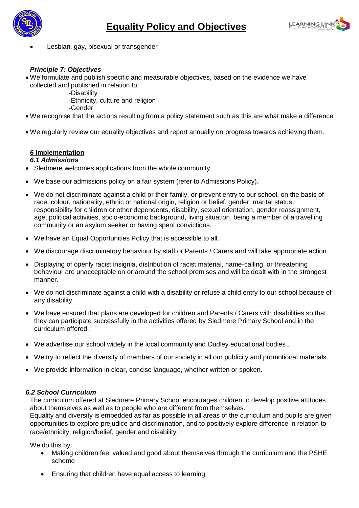



Lesbian, gay, bisexual or transgender

#### *Principle 7: Objectives*

- We formulate and publish specific and measurable objectives, based on the evidence we have collected and published in relation to:
	- -Disability
	- -Ethnicity, culture and religion
	- -Gender
- We recognise that the actions resulting from a policy statement such as this are what make a difference
- We regularly review our equality objectives and report annually on progress towards achieving them.

#### *6* **Implementation**

#### *6.1 Admissions*

- Sledmere welcomes applications from the whole community.
- We base our admissions policy on a fair system (refer to Admissions Policy).
- We do not discriminate against a child or their family, or prevent entry to our school, on the basis of race, colour, nationality, ethnic or national origin, religion or belief, gender, marital status, responsibility for children or other dependents, disability, sexual orientation, gender reassignment, age, political activities, socio-economic background, living situation, being a member of a travelling community or an asylum seeker or having spent convictions.
- We have an Equal Opportunities Policy that is accessible to all.
- We discourage discriminatory behaviour by staff or Parents / Carers and will take appropriate action.
- Displaying of openly racist insignia, distribution of racist material, name-calling, or threatening behaviour are unacceptable on or around the school premises and will be dealt with in the strongest manner.
- We do not discriminate against a child with a disability or refuse a child entry to our school because of any disability.
- We have ensured that plans are developed for children and Parents / Carers with disabilities so that they can participate successfully in the activities offered by Sledmere Primary School and in the curriculum offered.
- We advertise our school widely in the local community and Dudley educational bodies .
- We try to reflect the diversity of members of our society in all our publicity and promotional materials.
- We provide information in clear, concise language, whether written or spoken.

#### *6.2 School Curriculum*

The curriculum offered at Sledmere Primary School encourages children to develop positive attitudes about themselves as well as to people who are different from themselves.

Equality and diversity is embedded as far as possible in all areas of the curriculum and pupils are given opportunities to explore prejudice and discrimination, and to positively explore difference in relation to race/ethnicity, religion/belief, gender and disability.

We do this by:

- Making children feel valued and good about themselves through the curriculum and the PSHE scheme
- Ensuring that children have equal access to learning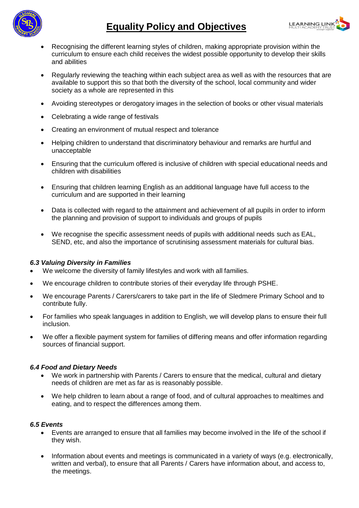

### **Equality Policy and Objectives**



- Recognising the different learning styles of children, making appropriate provision within the curriculum to ensure each child receives the widest possible opportunity to develop their skills and abilities
- Regularly reviewing the teaching within each subject area as well as with the resources that are available to support this so that both the diversity of the school, local community and wider society as a whole are represented in this
- Avoiding stereotypes or derogatory images in the selection of books or other visual materials
- Celebrating a wide range of festivals
- Creating an environment of mutual respect and tolerance
- Helping children to understand that discriminatory behaviour and remarks are hurtful and unacceptable
- Ensuring that the curriculum offered is inclusive of children with special educational needs and children with disabilities
- Ensuring that children learning English as an additional language have full access to the curriculum and are supported in their learning
- Data is collected with regard to the attainment and achievement of all pupils in order to inform the planning and provision of support to individuals and groups of pupils
- We recognise the specific assessment needs of pupils with additional needs such as EAL, SEND, etc, and also the importance of scrutinising assessment materials for cultural bias.

#### *6.3 Valuing Diversity in Families*

- We welcome the diversity of family lifestyles and work with all families.
- We encourage children to contribute stories of their everyday life through PSHE.
- We encourage Parents / Carers/carers to take part in the life of Sledmere Primary School and to contribute fully.
- For families who speak languages in addition to English, we will develop plans to ensure their full inclusion.
- We offer a flexible payment system for families of differing means and offer information regarding sources of financial support.

#### *6.4 Food and Dietary Needs*

- We work in partnership with Parents / Carers to ensure that the medical, cultural and dietary needs of children are met as far as is reasonably possible.
- We help children to learn about a range of food, and of cultural approaches to mealtimes and eating, and to respect the differences among them.

#### *6.5 Events*

- Events are arranged to ensure that all families may become involved in the life of the school if they wish.
- Information about events and meetings is communicated in a variety of ways (e.g. electronically, written and verbal), to ensure that all Parents / Carers have information about, and access to, the meetings.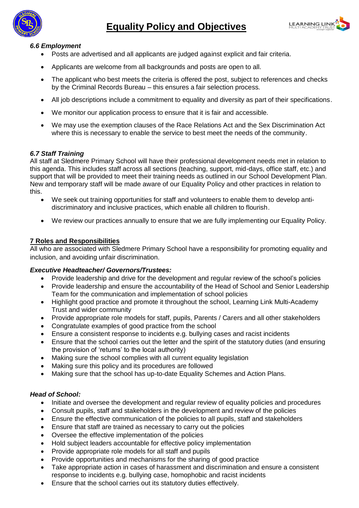



#### *6.6 Employment*

- Posts are advertised and all applicants are judged against explicit and fair criteria.
- Applicants are welcome from all backgrounds and posts are open to all.
- The applicant who best meets the criteria is offered the post, subject to references and checks by the Criminal Records Bureau – this ensures a fair selection process.
- All job descriptions include a commitment to equality and diversity as part of their specifications.
- We monitor our application process to ensure that it is fair and accessible.
- We may use the exemption clauses of the Race Relations Act and the Sex Discrimination Act where this is necessary to enable the service to best meet the needs of the community.

#### *6.7 Staff Training*

All staff at Sledmere Primary School will have their professional development needs met in relation to this agenda. This includes staff across all sections (teaching, support, mid-days, office staff, etc.) and support that will be provided to meet their training needs as outlined in our School Development Plan. New and temporary staff will be made aware of our Equality Policy and other practices in relation to this.

- We seek out training opportunities for staff and volunteers to enable them to develop antidiscriminatory and inclusive practices, which enable all children to flourish.
- We review our practices annually to ensure that we are fully implementing our Equality Policy.

#### **7 Roles and Responsibilities**

All who are associated with Sledmere Primary School have a responsibility for promoting equality and inclusion, and avoiding unfair discrimination.

#### *Executive Headteacher/ Governors/Trustees:*

- Provide leadership and drive for the development and regular review of the school's policies
- Provide leadership and ensure the accountability of the Head of School and Senior Leadership Team for the communication and implementation of school policies
- Highlight good practice and promote it throughout the school, Learning Link Multi-Academy Trust and wider community
- Provide appropriate role models for staff, pupils, Parents / Carers and all other stakeholders
- Congratulate examples of good practice from the school
- Ensure a consistent response to incidents e.g. bullying cases and racist incidents
- Ensure that the school carries out the letter and the spirit of the statutory duties (and ensuring the provision of 'returns' to the local authority)
- Making sure the school complies with all current equality legislation
- Making sure this policy and its procedures are followed
- Making sure that the school has up-to-date Equality Schemes and Action Plans.

#### *Head of School:*

- Initiate and oversee the development and regular review of equality policies and procedures
- Consult pupils, staff and stakeholders in the development and review of the policies
- Ensure the effective communication of the policies to all pupils, staff and stakeholders
- Ensure that staff are trained as necessary to carry out the policies
- Oversee the effective implementation of the policies
- Hold subject leaders accountable for effective policy implementation
- Provide appropriate role models for all staff and pupils
- Provide opportunities and mechanisms for the sharing of good practice
- Take appropriate action in cases of harassment and discrimination and ensure a consistent response to incidents e.g. bullying case, homophobic and racist incidents
- Ensure that the school carries out its statutory duties effectively.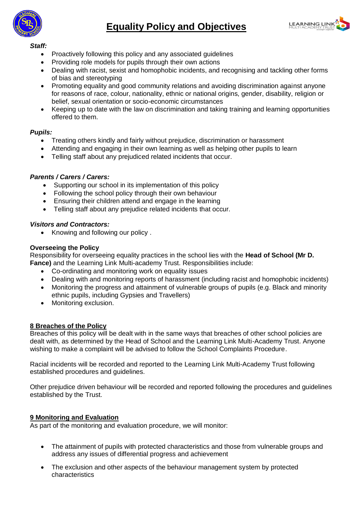



#### *Staff:*

- Proactively following this policy and any associated guidelines
- Providing role models for pupils through their own actions
- Dealing with racist, sexist and homophobic incidents, and recognising and tackling other forms of bias and stereotyping
- Promoting equality and good community relations and avoiding discrimination against anyone for reasons of race, colour, nationality, ethnic or national origins, gender, disability, religion or belief, sexual orientation or socio-economic circumstances
- Keeping up to date with the law on discrimination and taking training and learning opportunities offered to them.

#### *Pupils:*

- Treating others kindly and fairly without prejudice, discrimination or harassment
- Attending and engaging in their own learning as well as helping other pupils to learn
- Telling staff about any prejudiced related incidents that occur.

#### *Parents / Carers / Carers:*

- Supporting our school in its implementation of this policy
- Following the school policy through their own behaviour
- Ensuring their children attend and engage in the learning
- Telling staff about any prejudice related incidents that occur.

#### *Visitors and Contractors:*

• Knowing and following our policy.

#### **Overseeing the Policy**

Responsibility for overseeing equality practices in the school lies with the **Head of School (Mr D. Fance)** and the Learning Link Multi-academy Trust. Responsibilities include:

- Co-ordinating and monitoring work on equality issues
- Dealing with and monitoring reports of harassment (including racist and homophobic incidents)
- Monitoring the progress and attainment of vulnerable groups of pupils (e.g. Black and minority ethnic pupils, including Gypsies and Travellers)
- Monitoring exclusion.

#### **8 Breaches of the Policy**

Breaches of this policy will be dealt with in the same ways that breaches of other school policies are dealt with, as determined by the Head of School and the Learning Link Multi-Academy Trust. Anyone wishing to make a complaint will be advised to follow the School Complaints Procedure.

Racial incidents will be recorded and reported to the Learning Link Multi-Academy Trust following established procedures and guidelines.

Other prejudice driven behaviour will be recorded and reported following the procedures and guidelines established by the Trust.

#### **9 Monitoring and Evaluation**

As part of the monitoring and evaluation procedure, we will monitor:

- The attainment of pupils with protected characteristics and those from vulnerable groups and address any issues of differential progress and achievement
- The exclusion and other aspects of the behaviour management system by protected characteristics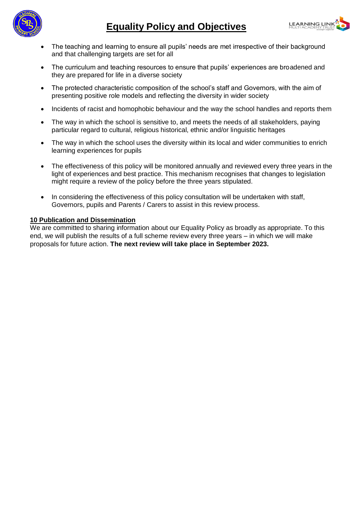



- The teaching and learning to ensure all pupils' needs are met irrespective of their background and that challenging targets are set for all
- The curriculum and teaching resources to ensure that pupils' experiences are broadened and they are prepared for life in a diverse society
- The protected characteristic composition of the school's staff and Governors, with the aim of presenting positive role models and reflecting the diversity in wider society
- Incidents of racist and homophobic behaviour and the way the school handles and reports them
- The way in which the school is sensitive to, and meets the needs of all stakeholders, paying particular regard to cultural, religious historical, ethnic and/or linguistic heritages
- The way in which the school uses the diversity within its local and wider communities to enrich learning experiences for pupils
- The effectiveness of this policy will be monitored annually and reviewed every three years in the light of experiences and best practice. This mechanism recognises that changes to legislation might require a review of the policy before the three years stipulated.
- In considering the effectiveness of this policy consultation will be undertaken with staff, Governors, pupils and Parents / Carers to assist in this review process.

#### **10 Publication and Dissemination**

We are committed to sharing information about our Equality Policy as broadly as appropriate. To this end, we will publish the results of a full scheme review every three years – in which we will make proposals for future action. **The next review will take place in September 2023.**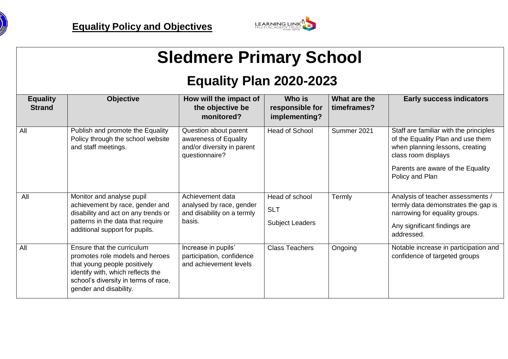



# **Sledmere Primary School**

## **Equality Plan 2020-2023**

| <b>Equality</b><br><b>Strand</b> | <b>Objective</b>                                                                                                                                                                                     | How will the impact of<br>the objective be<br>monitored?                                       | Who is<br>responsible for<br>implementing?             | What are the<br>timeframes? | <b>Early success indicators</b>                                                                                                                                                               |
|----------------------------------|------------------------------------------------------------------------------------------------------------------------------------------------------------------------------------------------------|------------------------------------------------------------------------------------------------|--------------------------------------------------------|-----------------------------|-----------------------------------------------------------------------------------------------------------------------------------------------------------------------------------------------|
| All                              | Publish and promote the Equality<br>Policy through the school website<br>and staff meetings.                                                                                                         | Question about parent<br>awareness of Equality<br>and/or diversity in parent<br>questionnaire? | <b>Head of School</b>                                  | Summer 2021                 | Staff are familiar with the principles<br>of the Equality Plan and use them<br>when planning lessons, creating<br>class room displays<br>Parents are aware of the Equality<br>Policy and Plan |
| All                              | Monitor and analyse pupil<br>achievement by race, gender and<br>disability and act on any trends or<br>patterns in the data that require<br>additional support for pupils.                           | Achievement data<br>analysed by race, gender<br>and disability on a termly<br>basis.           | Head of school<br><b>SLT</b><br><b>Subject Leaders</b> | Termly                      | Analysis of teacher assessments /<br>termly data demonstrates the gap is<br>narrowing for equality groups.<br>Any significant findings are<br>addressed.                                      |
| All                              | Ensure that the curriculum<br>promotes role models and heroes<br>that young people positively<br>identify with, which reflects the<br>school's diversity in terms of race,<br>gender and disability. | Increase in pupils'<br>participation, confidence<br>and achievement levels                     | <b>Class Teachers</b>                                  | Ongoing                     | Notable increase in participation and<br>confidence of targeted groups                                                                                                                        |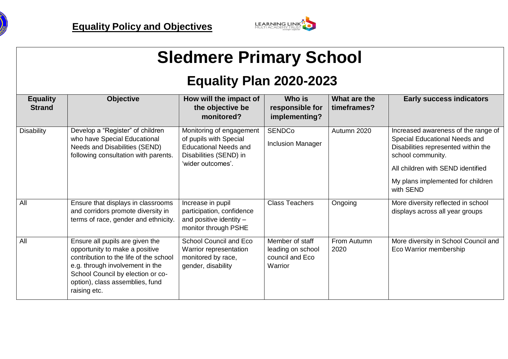



# **Sledmere Primary School**

## **Equality Plan 2020-2023**

| <b>Equality</b><br><b>Strand</b> | <b>Objective</b>                                                                                                                                                                                                                       | How will the impact of<br>the objective be<br>monitored?                                                                          | Who is<br>responsible for<br>implementing?                         | What are the<br>timeframes? | <b>Early success indicators</b>                                                                                                                                                                                         |
|----------------------------------|----------------------------------------------------------------------------------------------------------------------------------------------------------------------------------------------------------------------------------------|-----------------------------------------------------------------------------------------------------------------------------------|--------------------------------------------------------------------|-----------------------------|-------------------------------------------------------------------------------------------------------------------------------------------------------------------------------------------------------------------------|
| <b>Disability</b>                | Develop a "Register" of children<br>who have Special Educational<br>Needs and Disabilities (SEND)<br>following consultation with parents.                                                                                              | Monitoring of engagement<br>of pupils with Special<br><b>Educational Needs and</b><br>Disabilities (SEND) in<br>'wider outcomes'. | <b>SENDCo</b><br><b>Inclusion Manager</b>                          | Autumn 2020                 | Increased awareness of the range of<br>Special Educational Needs and<br>Disabilities represented within the<br>school community.<br>All children with SEND identified<br>My plans implemented for children<br>with SEND |
| All                              | Ensure that displays in classrooms<br>and corridors promote diversity in<br>terms of race, gender and ethnicity.                                                                                                                       | Increase in pupil<br>participation, confidence<br>and positive identity -<br>monitor through PSHE                                 | <b>Class Teachers</b>                                              | Ongoing                     | More diversity reflected in school<br>displays across all year groups                                                                                                                                                   |
| All                              | Ensure all pupils are given the<br>opportunity to make a positive<br>contribution to the life of the school<br>e.g. through involvement in the<br>School Council by election or co-<br>option), class assemblies, fund<br>raising etc. | School Council and Eco<br>Warrior representation<br>monitored by race,<br>gender, disability                                      | Member of staff<br>leading on school<br>council and Eco<br>Warrior | From Autumn<br>2020         | More diversity in School Council and<br>Eco Warrior membership                                                                                                                                                          |